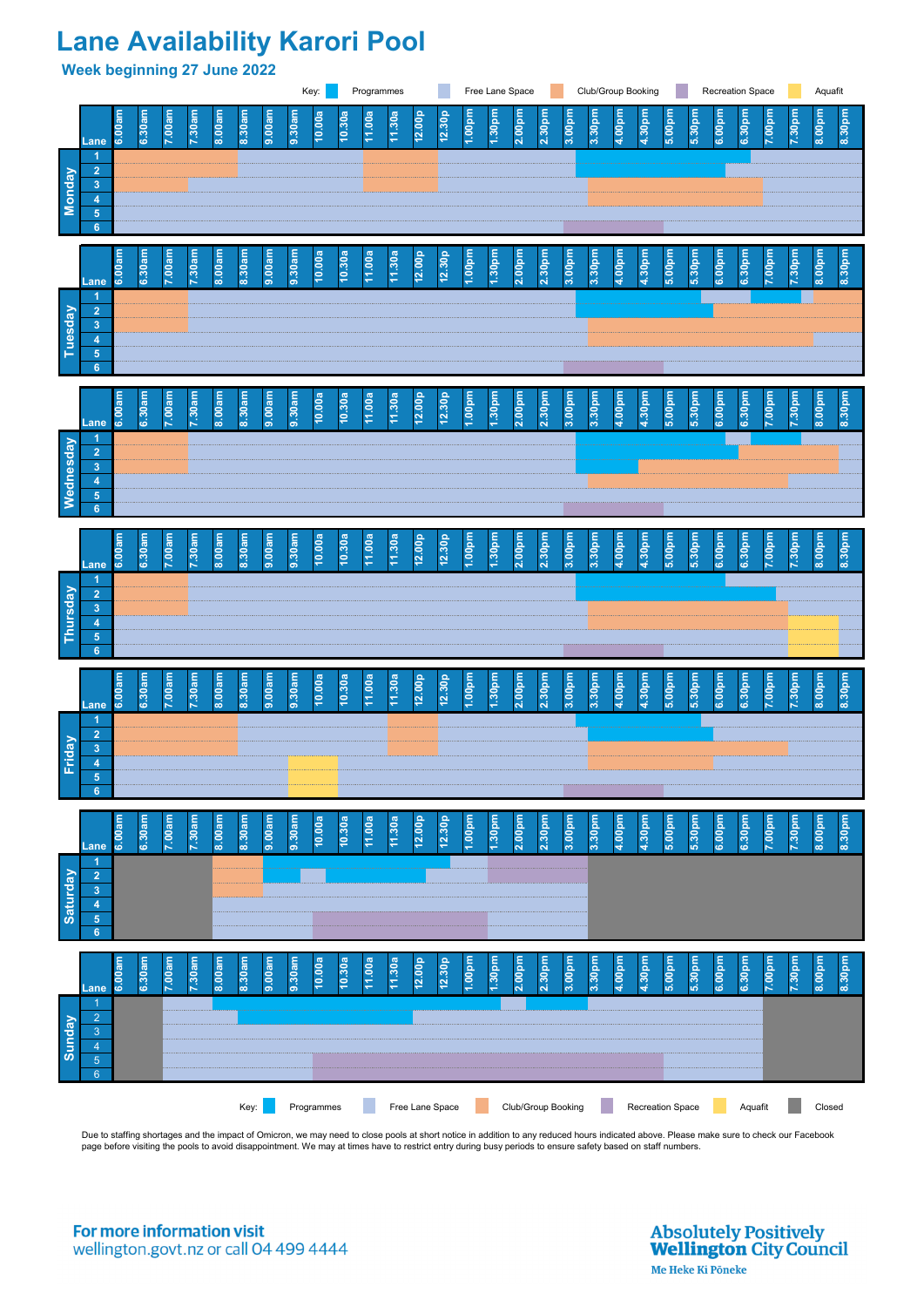## **Lane Availability Karori Pool**

**Week beginning 27 June 2022**

Due to staffing shortages and the impact of Omicron, we may need to close pools at short notice in addition to any reduced hours indicated above. Please make sure to check our Facebook page before visiting the pools to avoid disappointment. We may at times have to restrict entry during busy periods to ensure safety based on staff numbers.

For more information visit wellington.govt.nz or call 04 499 4444 **Absolutely Positively Wellington City Council** Me Heke Ki Pōneke